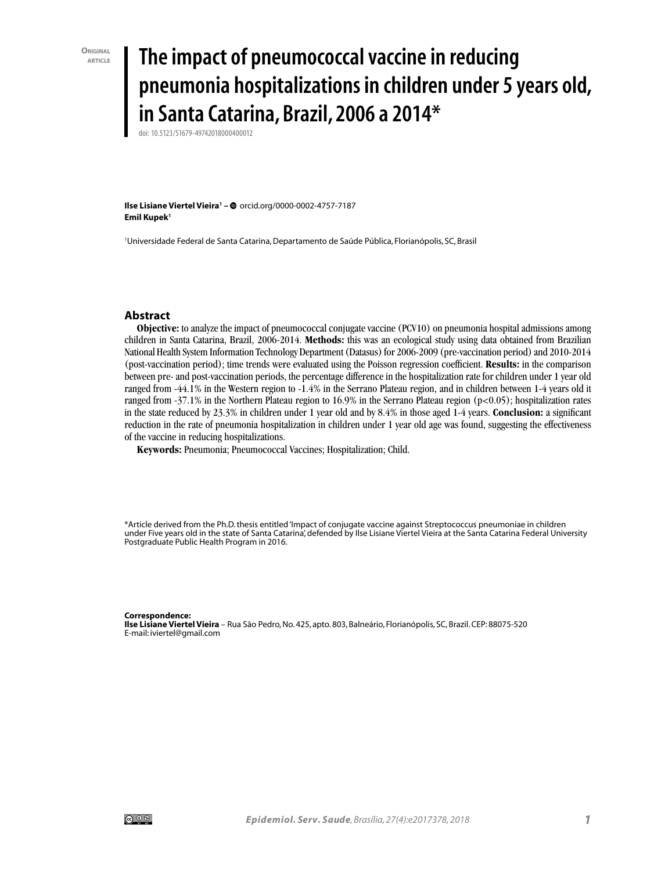# **article The impact of pneumococcal vaccine in reducing pneumonia hospitalizations in children under 5 years old, in Santa Catarina, Brazil, 2006 a 2014\***

doi: 10.5123/S1679-49742018000400012

**Ilse Lisiane Viertel Vieira1 –** orcid.org/0000-0002-4757-7187 **Emil Kupek1**

1 Universidade Federal de Santa Catarina, Departamento de Saúde Pública, Florianópolis, SC, Brasil

#### **Abstract**

**Objective:** to analyze the impact of pneumococcal conjugate vaccine (PCV10) on pneumonia hospital admissions among children in Santa Catarina, Brazil, 2006-2014. **Methods:** this was an ecological study using data obtained from Brazilian National Health System Information Technology Department (Datasus) for 2006-2009 (pre-vaccination period) and 2010-2014 (post-vaccination period); time trends were evaluated using the Poisson regression coefficient. **Results:** in the comparison between pre- and post-vaccination periods, the percentage difference in the hospitalization rate for children under 1 year old ranged from -44.1% in the Western region to -1.4% in the Serrano Plateau region, and in children between 1-4 years old it ranged from -37.1% in the Northern Plateau region to 16.9% in the Serrano Plateau region (p<0.05); hospitalization rates in the state reduced by 23.3% in children under 1 year old and by 8.4% in those aged 1-4 years. **Conclusion:** a significant reduction in the rate of pneumonia hospitalization in children under 1 year old age was found, suggesting the effectiveness of the vaccine in reducing hospitalizations.

**Keywords:** Pneumonia; Pneumococcal Vaccines; Hospitalization; Child.

\*Article derived from the Ph.D. thesis entitled 'Impact of conjugate vaccine against Streptococcus pneumoniae in children under Five years old in the state of Santa Catarina', defended by Ilse Lisiane Viertel Vieira at the Santa Catarina Federal University Postgraduate Public Health Program in 2016.

#### **Correspondence:**

**Ilse Lisiane Viertel Vieira** – Rua São Pedro, No. 425, apto. 803, Balneário, Florianópolis, SC, Brazil. CEP: 88075-520 E-mail: iviertel@gmail.com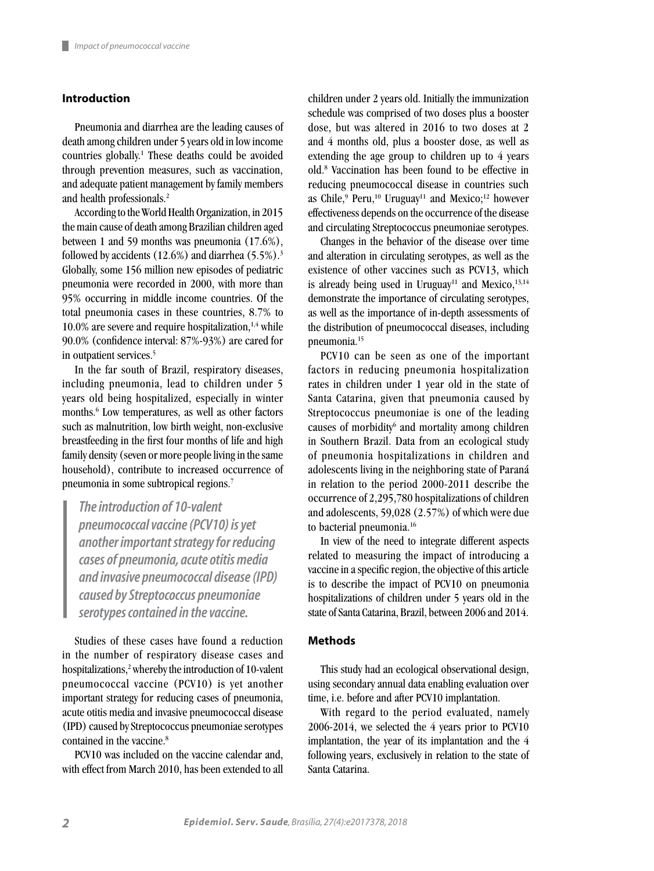# **Introduction**

Pneumonia and diarrhea are the leading causes of death among children under 5 years old in low income countries globally.<sup>1</sup> These deaths could be avoided through prevention measures, such as vaccination, and adequate patient management by family members and health professionals.2

According to the World Health Organization, in 2015 the main cause of death among Brazilian children aged between 1 and 59 months was pneumonia (17.6%), followed by accidents  $(12.6%)$  and diarrhea  $(5.5%)$ .<sup>3</sup> Globally, some 156 million new episodes of pediatric pneumonia were recorded in 2000, with more than 95% occurring in middle income countries. Of the total pneumonia cases in these countries, 8.7% to  $10.0\%$  are severe and require hospitalization,<sup>1,4</sup> while 90.0% (confidence interval: 87%-93%) are cared for in outpatient services.<sup>5</sup>

In the far south of Brazil, respiratory diseases, including pneumonia, lead to children under 5 years old being hospitalized, especially in winter months.<sup>6</sup> Low temperatures, as well as other factors such as malnutrition, low birth weight, non-exclusive breastfeeding in the first four months of life and high family density (seven or more people living in the same household), contribute to increased occurrence of pneumonia in some subtropical regions.7

*The introduction of 10-valent pneumococcal vaccine (PCV10) is yet another important strategy for reducing cases of pneumonia, acute otitis media and invasive pneumococcal disease (IPD) caused by Streptococcus pneumoniae serotypes contained in the vaccine.*

Studies of these cases have found a reduction in the number of respiratory disease cases and hospitalizations,<sup>2</sup> whereby the introduction of 10-valent pneumococcal vaccine (PCV10) is yet another important strategy for reducing cases of pneumonia, acute otitis media and invasive pneumococcal disease (IPD) caused by Streptococcus pneumoniae serotypes contained in the vaccine.<sup>8</sup>

PCV10 was included on the vaccine calendar and, with effect from March 2010, has been extended to all children under 2 years old. Initially the immunization schedule was comprised of two doses plus a booster dose, but was altered in 2016 to two doses at 2 and 4 months old, plus a booster dose, as well as extending the age group to children up to 4 years old.8 Vaccination has been found to be effective in reducing pneumococcal disease in countries such as Chile,<sup>9</sup> Peru,<sup>10</sup> Uruguay<sup>11</sup> and Mexico;<sup>12</sup> however effectiveness depends on the occurrence of the disease and circulating Streptococcus pneumoniae serotypes.

Changes in the behavior of the disease over time and alteration in circulating serotypes, as well as the existence of other vaccines such as PCV13, which is already being used in Uruguay<sup>11</sup> and Mexico, $13,14$ demonstrate the importance of circulating serotypes, as well as the importance of in-depth assessments of the distribution of pneumococcal diseases, including pneumonia.15

PCV10 can be seen as one of the important factors in reducing pneumonia hospitalization rates in children under 1 year old in the state of Santa Catarina, given that pneumonia caused by Streptococcus pneumoniae is one of the leading causes of morbidity<sup>6</sup> and mortality among children in Southern Brazil. Data from an ecological study of pneumonia hospitalizations in children and adolescents living in the neighboring state of Paraná in relation to the period 2000-2011 describe the occurrence of 2,295,780 hospitalizations of children and adolescents, 59,028 (2.57%) of which were due to bacterial pneumonia.16

In view of the need to integrate different aspects related to measuring the impact of introducing a vaccine in a specific region, the objective of this article is to describe the impact of PCV10 on pneumonia hospitalizations of children under 5 years old in the state of Santa Catarina, Brazil, between 2006 and 2014.

### **Methods**

This study had an ecological observational design, using secondary annual data enabling evaluation over time, i.e. before and after PCV10 implantation.

With regard to the period evaluated, namely 2006-2014, we selected the 4 years prior to PCV10 implantation, the year of its implantation and the 4 following years, exclusively in relation to the state of Santa Catarina.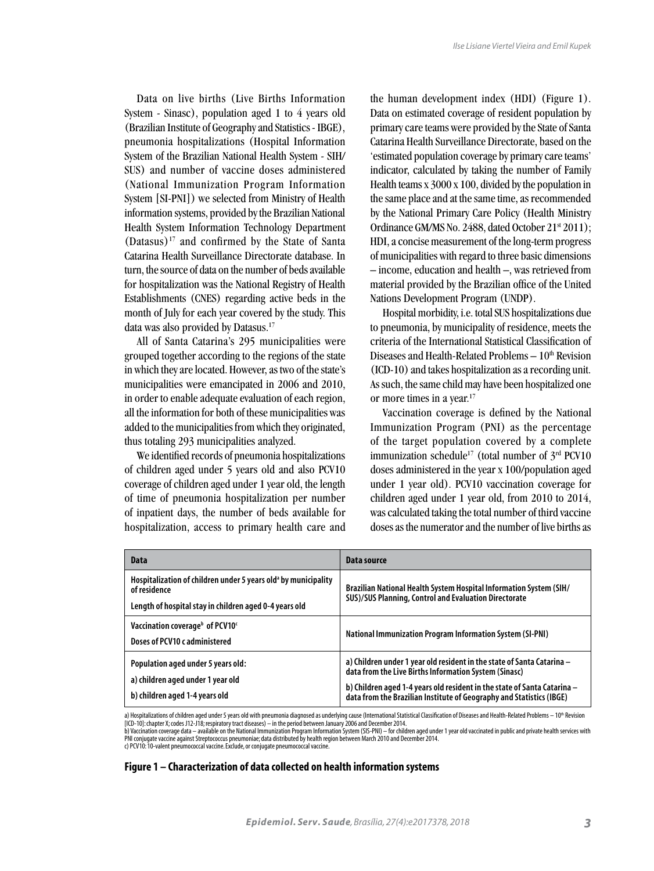Data on live births (Live Births Information System - Sinasc), population aged 1 to 4 years old (Brazilian Institute of Geography and Statistics - IBGE), pneumonia hospitalizations (Hospital Information System of the Brazilian National Health System - SIH/ SUS) and number of vaccine doses administered (National Immunization Program Information System [SI-PNI]) we selected from Ministry of Health information systems, provided by the Brazilian National Health System Information Technology Department (Datasus)17 and confirmed by the State of Santa Catarina Health Surveillance Directorate database. In turn, the source of data on the number of beds available for hospitalization was the National Registry of Health Establishments (CNES) regarding active beds in the month of July for each year covered by the study. This data was also provided by Datasus.17

All of Santa Catarina's 295 municipalities were grouped together according to the regions of the state in which they are located. However, as two of the state's municipalities were emancipated in 2006 and 2010, in order to enable adequate evaluation of each region, all the information for both of these municipalities was added to the municipalities from which they originated, thus totaling 293 municipalities analyzed.

We identified records of pneumonia hospitalizations of children aged under 5 years old and also PCV10 coverage of children aged under 1 year old, the length of time of pneumonia hospitalization per number of inpatient days, the number of beds available for hospitalization, access to primary health care and the human development index (HDI) (Figure 1). Data on estimated coverage of resident population by primary care teams were provided by the State of Santa Catarina Health Surveillance Directorate, based on the 'estimated population coverage by primary care teams' indicator, calculated by taking the number of Family Health teams x 3000 x 100, divided by the population in the same place and at the same time, as recommended by the National Primary Care Policy (Health Ministry Ordinance GM/MS No. 2488, dated October 21<sup>st</sup> 2011); HDI, a concise measurement of the long-term progress of municipalities with regard to three basic dimensions – income, education and health –, was retrieved from material provided by the Brazilian office of the United Nations Development Program (UNDP).

Hospital morbidity, i.e. total SUS hospitalizations due to pneumonia, by municipality of residence, meets the criteria of the International Statistical Classification of Diseases and Health-Related Problems  $-10<sup>th</sup>$  Revision (ICD-10) and takes hospitalization as a recording unit. As such, the same child may have been hospitalized one or more times in a year.<sup>17</sup>

Vaccination coverage is defined by the National Immunization Program (PNI) as the percentage of the target population covered by a complete immunization schedule<sup>17</sup> (total number of  $3<sup>rd</sup>$  PCV10 doses administered in the year x 100/population aged under 1 year old). PCV10 vaccination coverage for children aged under 1 year old, from 2010 to 2014, was calculated taking the total number of third vaccine doses as the numerator and the number of live births as

| Data                                                                                                                                                 | Data source                                                                                                                                                                                                                                                                         |
|------------------------------------------------------------------------------------------------------------------------------------------------------|-------------------------------------------------------------------------------------------------------------------------------------------------------------------------------------------------------------------------------------------------------------------------------------|
| Hospitalization of children under 5 years old <sup>a</sup> by municipality<br>of residence<br>Length of hospital stay in children aged 0-4 years old | Brazilian National Health System Hospital Information System (SIH/<br>SUS)/SUS Planning, Control and Evaluation Directorate                                                                                                                                                         |
| Vaccination coverage <sup>b</sup> of PCV10 <sup>c</sup><br>Doses of PCV10 c administered                                                             | <b>National Immunization Program Information System (SI-PNI)</b>                                                                                                                                                                                                                    |
| Population aged under 5 years old:<br>a) children aged under 1 year old<br>b) children aged 1-4 years old                                            | a) Children under 1 year old resident in the state of Santa Catarina -<br>data from the Live Births Information System (Sinasc)<br>b) Children aged 1-4 years old resident in the state of Santa Catarina -<br>data from the Brazilian Institute of Geography and Statistics (IBGE) |

a) Hospitalizations of children aged under 5 years old with pneumonia diagnosed as underlying cause (International Statistical Classification of Diseases and Health-Related Problems – 10<sup>th</sup> Revision [ICD-10]: chapter X; codes J12-J18; respiratory tract diseases) – in the period between January 2006 and December 2014.

b) Vaccination coverage data — available on the National Immunization Program Information System (SIS-PNI) — for children aged under 1 year old vaccinated in public and private health services with<br>PNI conjugate vaccine ag

c) PCV10: 10-valent pneumococcal vaccine. Exclude, or conjugate pneumococcal vaccine.

### **Figure 1 – Characterization of data collected on health information systems**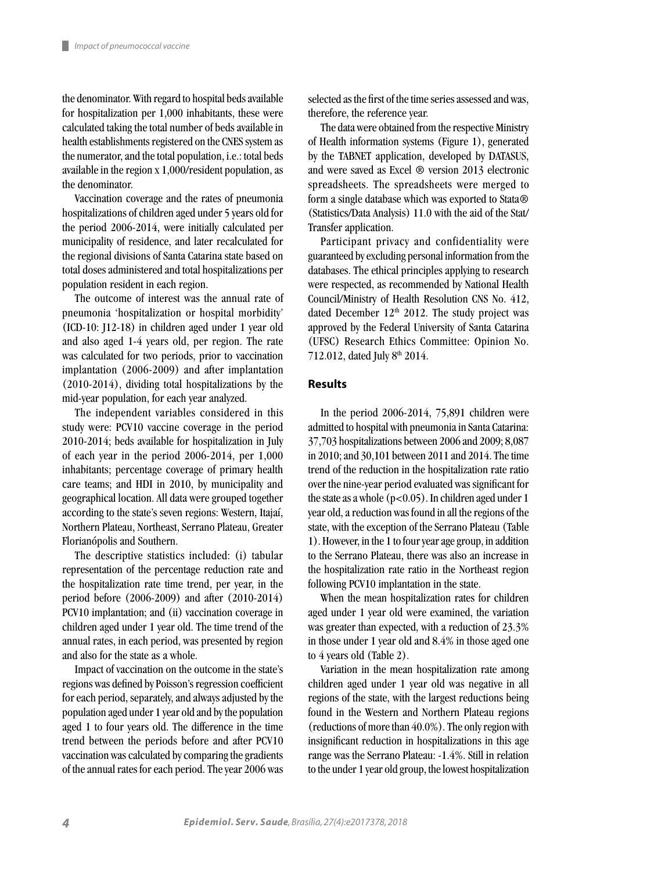the denominator. With regard to hospital beds available for hospitalization per 1,000 inhabitants, these were calculated taking the total number of beds available in health establishments registered on the CNES system as the numerator, and the total population, i.e.: total beds available in the region x 1,000/resident population, as the denominator.

Vaccination coverage and the rates of pneumonia hospitalizations of children aged under 5 years old for the period 2006-2014, were initially calculated per municipality of residence, and later recalculated for the regional divisions of Santa Catarina state based on total doses administered and total hospitalizations per population resident in each region.

The outcome of interest was the annual rate of pneumonia 'hospitalization or hospital morbidity' (ICD-10: J12-18) in children aged under 1 year old and also aged 1-4 years old, per region. The rate was calculated for two periods, prior to vaccination implantation (2006-2009) and after implantation (2010-2014), dividing total hospitalizations by the mid-year population, for each year analyzed.

The independent variables considered in this study were: PCV10 vaccine coverage in the period 2010-2014; beds available for hospitalization in July of each year in the period 2006-2014, per 1,000 inhabitants; percentage coverage of primary health care teams; and HDI in 2010, by municipality and geographical location. All data were grouped together according to the state's seven regions: Western, Itajaí, Northern Plateau, Northeast, Serrano Plateau, Greater Florianópolis and Southern.

The descriptive statistics included: (i) tabular representation of the percentage reduction rate and the hospitalization rate time trend, per year, in the period before (2006-2009) and after (2010-2014) PCV10 implantation; and (ii) vaccination coverage in children aged under 1 year old. The time trend of the annual rates, in each period, was presented by region and also for the state as a whole.

Impact of vaccination on the outcome in the state's regions was defined by Poisson's regression coefficient for each period, separately, and always adjusted by the population aged under 1 year old and by the population aged 1 to four years old. The difference in the time trend between the periods before and after PCV10 vaccination was calculated by comparing the gradients of the annual rates for each period. The year 2006 was selected as the first of the time series assessed and was, therefore, the reference year.

The data were obtained from the respective Ministry of Health information systems (Figure 1), generated by the TABNET application, developed by DATASUS, and were saved as Excel ® version 2013 electronic spreadsheets. The spreadsheets were merged to form a single database which was exported to Stata® (Statistics/Data Analysis) 11.0 with the aid of the Stat/ Transfer application.

Participant privacy and confidentiality were guaranteed by excluding personal information from the databases. The ethical principles applying to research were respected, as recommended by National Health Council/Ministry of Health Resolution CNS No. 412, dated December  $12<sup>th</sup>$  2012. The study project was approved by the Federal University of Santa Catarina (UFSC) Research Ethics Committee: Opinion No. 712.012, dated July 8<sup>th</sup> 2014.

#### **Results**

In the period 2006-2014, 75,891 children were admitted to hospital with pneumonia in Santa Catarina: 37,703 hospitalizations between 2006 and 2009; 8,087 in 2010; and 30,101 between 2011 and 2014. The time trend of the reduction in the hospitalization rate ratio over the nine-year period evaluated was significant for the state as a whole  $(p<0.05)$ . In children aged under 1 year old, a reduction was found in all the regions of the state, with the exception of the Serrano Plateau (Table 1). However, in the 1 to four year age group, in addition to the Serrano Plateau, there was also an increase in the hospitalization rate ratio in the Northeast region following PCV10 implantation in the state.

When the mean hospitalization rates for children aged under 1 year old were examined, the variation was greater than expected, with a reduction of 23.3% in those under 1 year old and 8.4% in those aged one to 4 years old (Table 2).

Variation in the mean hospitalization rate among children aged under 1 year old was negative in all regions of the state, with the largest reductions being found in the Western and Northern Plateau regions (reductions of more than 40.0%). The only region with insignificant reduction in hospitalizations in this age range was the Serrano Plateau: -1.4%. Still in relation to the under 1 year old group, the lowest hospitalization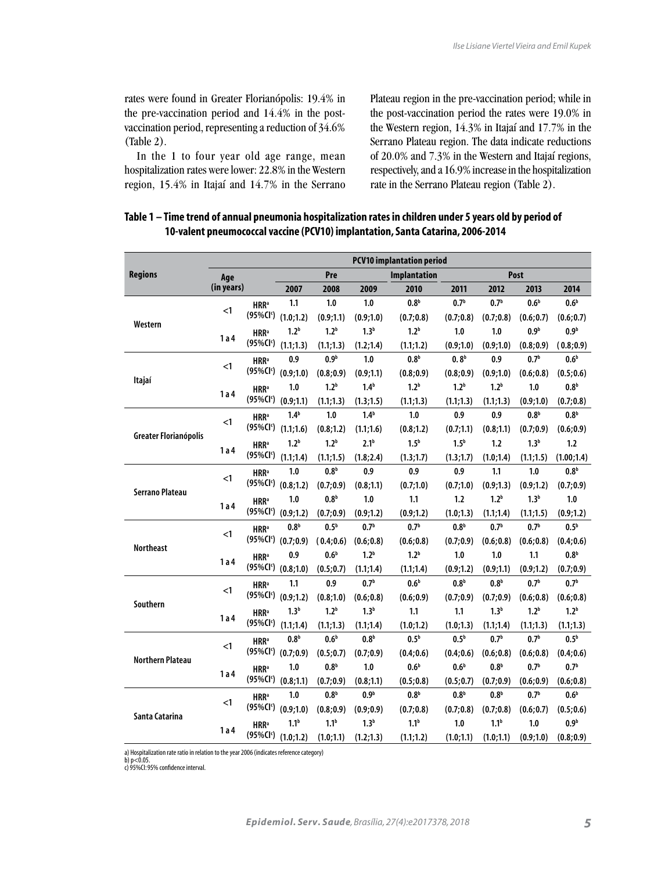rates were found in Greater Florianópolis: 19.4% in the pre-vaccination period and 14.4% in the postvaccination period, representing a reduction of 34.6% (Table 2).

In the 1 to four year old age range, mean hospitalization rates were lower: 22.8% in the Western region, 15.4% in Itajaí and 14.7% in the Serrano Plateau region in the pre-vaccination period; while in the post-vaccination period the rates were 19.0% in the Western region, 14.3% in Itajaí and 17.7% in the Serrano Plateau region. The data indicate reductions of 20.0% and 7.3% in the Western and Itajaí regions, respectively, and a 16.9% increase in the hospitalization rate in the Serrano Plateau region (Table 2).

# **Table 1 – Time trend of annual pneumonia hospitalization rates in children under 5 years old by period of 10-valent pneumococcal vaccine (PCV10) implantation, Santa Catarina, 2006-2014**

|                         | <b>PCV10 implantation period</b> |                                                            |                                 |                  |                  |                     |                  |                  |                  |                  |
|-------------------------|----------------------------------|------------------------------------------------------------|---------------------------------|------------------|------------------|---------------------|------------------|------------------|------------------|------------------|
| <b>Regions</b>          | Age                              |                                                            |                                 | Pre              |                  | <b>Implantation</b> | Post             |                  |                  |                  |
|                         | (in years)                       |                                                            | 2007                            | 2008             | 2009             | 2010                | 2011             | 2012             | 2013             | 2014             |
| Western                 |                                  | <b>HRR</b> <sup>a</sup>                                    | 1.1                             | 1.0              | 1.0              | 0.8 <sup>b</sup>    | 0.7 <sup>b</sup> | 0.7 <sup>b</sup> | 0.6 <sup>b</sup> | 0.6 <sup>b</sup> |
|                         | $<$ 1                            |                                                            | (95%Cl <sup>c</sup> ) (1.0;1.2) | (0.9;1.1)        | (0.9;1.0)        | (0.7;0.8)           | (0.7;0.8)        | (0.7;0.8)        | (0.6; 0.7)       | (0.6; 0.7)       |
|                         | 1a4                              | <b>HRR</b> <sup>a</sup><br>(95%Cl <sup>c</sup> )           | 1.2 <sup>b</sup>                | 1.2 <sup>b</sup> | 1.3 <sup>b</sup> | 1.2 <sup>b</sup>    | 1.0              | 1.0              | 0.9 <sup>b</sup> | 0.9 <sup>b</sup> |
|                         |                                  |                                                            | (1.1; 1.3)                      | (1.1; 1.3)       | (1.2;1.4)        | (1.1; 1.2)          | (0.9;1.0)        | (0.9;1.0)        | (0.8;0.9)        | (0.8;0.9)        |
| Itajaí                  |                                  | <b>HRR</b> <sup>a</sup>                                    | 0.9                             | 0.9 <sup>b</sup> | 1.0              | 0.8 <sup>b</sup>    | 0.8 <sup>b</sup> | 0.9              | 0.7 <sup>b</sup> | 0.6 <sup>b</sup> |
|                         | $<$ 1                            |                                                            | $(95\% CI^{\circ})$ $(0.9;1.0)$ | (0.8; 0.9)       | (0.9;1.1)        | (0.8; 0.9)          | (0.8;0.9)        | (0.9;1.0)        | (0.6; 0.8)       | (0.5; 0.6)       |
|                         |                                  | <b>HRR</b> <sup>a</sup>                                    | 1.0                             | 1.2 <sup>b</sup> | 1.4 <sup>b</sup> | 1.2 <sup>b</sup>    | 1.2 <sup>b</sup> | 1.2 <sup>b</sup> | 1.0              | 0.8 <sup>b</sup> |
|                         | 1a4                              | $(95\% CI^{\circ})$ $(0.9;1.1)$                            |                                 | (1.1; 1.3)       | (1.3;1.5)        | (1.1; 1.3)          | (1.1; 1.3)       | (1.1;1.3)        | (0.9;1.0)        | (0.7;0.8)        |
|                         | $\leq$ 1                         | <b>HRR</b> <sup>a</sup>                                    | 1.4 <sup>b</sup>                | 1.0              | 1.4 <sup>b</sup> | 1.0                 | 0.9              | 0.9              | 0.8 <sup>b</sup> | 0.8 <sup>b</sup> |
|                         |                                  | $(95\% CI^{\circ})$                                        | (1.1;1.6)                       | (0.8;1.2)        | (1.1;1.6)        | (0.8;1.2)           | (0.7;1.1)        | (0.8;1.1)        | (0.7;0.9)        | (0.6; 0.9)       |
| Greater Florianópolis   |                                  | <b>HRR</b> <sup>a</sup>                                    | 1.2 <sup>b</sup>                | 1.2 <sup>b</sup> | 2.1 <sup>b</sup> | 1.5 <sup>b</sup>    | 1.5 <sup>b</sup> | 1.2              | 1.3 <sup>b</sup> | 1.2              |
|                         | 1 a 4                            | $(95\% CI^{\circ})$ $(1.1;1.4)$                            |                                 | (1.1;1.5)        | (1.8; 2.4)       | (1.3;1.7)           | (1.3;1.7)        | (1.0; 1.4)       | (1.1; 1.5)       | (1.00;1.4)       |
| <b>Serrano Plateau</b>  | $<$ 1                            | <b>HRR</b> <sup>a</sup>                                    | 1.0                             | 0.8 <sup>b</sup> | 0.9              | 0.9                 | 0.9              | 1.1              | 1.0              | 0.8 <sup>b</sup> |
|                         |                                  |                                                            | $(95\% CI^{\circ})$ $(0.8;1.2)$ | (0.7:0.9)        | (0.8;1.1)        | (0.7;1.0)           | (0.7;1.0)        | (0.9:1.3)        | (0.9:1.2)        | (0.7;0.9)        |
|                         | 1 a 4                            | <b>HRR</b> <sup>a</sup><br>(95%Cl <sup>c</sup> ) (0.9;1.2) | 1.0                             | 0.8 <sup>b</sup> | 1.0              | 1.1                 | 1.2              | 1.2 <sup>b</sup> | 1.3 <sup>b</sup> | 1.0              |
|                         |                                  |                                                            |                                 | (0.7;0.9)        | (0.9;1.2)        | (0.9;1.2)           | (1.0; 1.3)       | (1.1; 1.4)       | (1.1; 1.5)       | (0.9;1.2)        |
| <b>Northeast</b>        | $<$ 1                            | <b>HRR</b> <sup>a</sup><br>$(95\% CI^{\circ})$             | 0.8 <sup>b</sup>                | 0.5 <sup>b</sup> | 0.7 <sup>b</sup> | 0.7 <sup>b</sup>    | 0.8 <sup>b</sup> | 0.7 <sup>b</sup> | 0.7 <sup>b</sup> | 0.5 <sup>b</sup> |
|                         |                                  |                                                            | (0.7;0.9)                       | (0.4;0.6)        | (0.6; 0.8)       | (0.6; 0.8)          | (0.7;0.9)        | (0.6; 0.8)       | (0.6; 0.8)       | (0.4;0.6)        |
|                         | 1 a 4                            | <b>HRR</b> <sup>a</sup>                                    | 0.9                             | 0.6 <sup>b</sup> | 1.2 <sup>b</sup> | 1.2 <sup>b</sup>    | 1.0              | 1.0              | 1.1              | 0.8 <sup>b</sup> |
|                         |                                  |                                                            | $(95\% CI^{\circ})$ $(0.8;1.0)$ | (0.5; 0.7)       | (1.1; 1.4)       | (1.1; 1.4)          | (0.9:1.2)        | (0.9;1.1)        | (0.9;1.2)        | (0.7;0.9)        |
|                         | $\leq$ 1                         | <b>HRR</b> <sup>a</sup>                                    | 1.1                             | 0.9              | 0.7 <sup>b</sup> | 0.6 <sup>b</sup>    | 0.8 <sup>b</sup> | 0.8 <sup>b</sup> | 0.7 <sup>b</sup> | 0.7 <sup>b</sup> |
| Southern                |                                  |                                                            | $(95\% CI^{\circ})$ $(0.9;1.2)$ | (0.8;1.0)        | (0.6; 0.8)       | (0.6; 0.9)          | (0.7;0.9)        | (0.7;0.9)        | (0.6; 0.8)       | (0.6; 0.8)       |
|                         | 1a4                              | <b>HRR</b> <sup>a</sup><br>$(95\% CI^{\circ})$ $(1.1;1.4)$ | 1.3 <sup>b</sup>                | 1.2 <sup>b</sup> | 1.3 <sup>b</sup> | 1.1                 | 1.1              | 1.3 <sup>b</sup> | 1.2 <sup>b</sup> | 1.2 <sup>b</sup> |
|                         |                                  |                                                            |                                 | (1.1; 1.3)       | (1.1; 1.4)       | (1.0; 1.2)          | (1.0; 1.3)       | (1.1; 1.4)       | (1.1; 1.3)       | (1.1; 1.3)       |
| <b>Northern Plateau</b> | $\leq$ 1                         | <b>HRR</b> <sup>a</sup><br>$(95\% CI^{\circ})$ $(0.7;0.9)$ | 0.8 <sup>b</sup>                | 0.6 <sup>b</sup> | 0.8 <sup>b</sup> | 0.5 <sup>b</sup>    | 0.5 <sup>b</sup> | 0.7 <sup>b</sup> | 0.7 <sup>b</sup> | 0.5 <sup>b</sup> |
|                         |                                  |                                                            |                                 | (0.5; 0.7)       | (0.7;0.9)        | (0.4;0.6)           | (0.4;0.6)        | (0.6; 0.8)       | (0.6; 0.8)       | (0.4;0.6)        |
|                         | 1 a 4                            | <b>HRR</b> <sup>a</sup><br>$(95\% CI^{\circ})$ $(0.8;1.1)$ | 1.0                             | 0.8 <sup>b</sup> | 1.0              | 0.6 <sup>b</sup>    | 0.6 <sup>b</sup> | 0.8 <sup>b</sup> | 0.7 <sup>b</sup> | 0.7 <sup>b</sup> |
|                         |                                  |                                                            |                                 | (0.7;0.9)        | (0.8;1.1)        | (0.5; 0.8)          | (0.5; 0.7)       | (0.7;0.9)        | (0.6;0.9)        | (0.6; 0.8)       |
| Santa Catarina          | $<$ 1                            | <b>HRR</b> <sup>a</sup>                                    | 1.0                             | 0.8 <sup>b</sup> | 0.9 <sup>b</sup> | 0.8 <sup>b</sup>    | 0.8 <sup>b</sup> | 0.8 <sup>b</sup> | 0.7 <sup>b</sup> | 0.6 <sup>b</sup> |
|                         |                                  |                                                            | (95%Cl <sup>c</sup> ) (0.9;1.0) | (0.8; 0.9)       | (0.9;0.9)        | (0.7;0.8)           | (0.7;0.8)        | (0.7;0.8)        | (0.6; 0.7)       | (0.5; 0.6)       |
|                         | 1a4                              | <b>HRR</b> <sup>a</sup>                                    | 1.1 <sup>b</sup>                | 1.1 <sup>b</sup> | 1.3 <sup>b</sup> | 1.1 <sup>b</sup>    | 1.0              | 1.1 <sup>b</sup> | 1.0              | 0.9 <sup>b</sup> |
|                         |                                  |                                                            | (95%Cl <sup>c</sup> ) (1.0;1.2) | (1.0;1.1)        | (1.2;1.3)        | (1.1; 1.2)          | (1.0;1.1)        | (1.0;1.1)        | (0.9;1.0)        | (0.8; 0.9)       |

a) Hospitalization rate ratio in relation to the year 2006 (indicates reference category)

b) p<0.05. c) 95%CI: 95% confidence interval.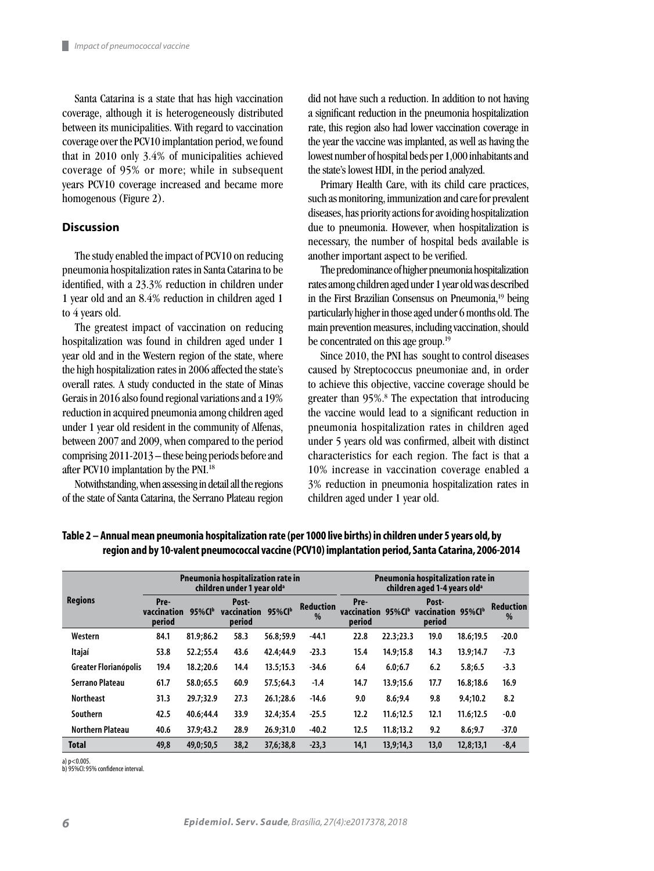Santa Catarina is a state that has high vaccination coverage, although it is heterogeneously distributed between its municipalities. With regard to vaccination coverage over the PCV10 implantation period, we found that in 2010 only 3.4% of municipalities achieved coverage of 95% or more; while in subsequent years PCV10 coverage increased and became more homogenous (Figure 2).

### **Discussion**

ш

The study enabled the impact of PCV10 on reducing pneumonia hospitalization rates in Santa Catarina to be identified, with a 23.3% reduction in children under 1 year old and an 8.4% reduction in children aged 1 to 4 years old.

The greatest impact of vaccination on reducing hospitalization was found in children aged under 1 year old and in the Western region of the state, where the high hospitalization rates in 2006 affected the state's overall rates. A study conducted in the state of Minas Gerais in 2016 also found regional variations and a 19% reduction in acquired pneumonia among children aged under 1 year old resident in the community of Alfenas, between 2007 and 2009, when compared to the period comprising 2011-2013 – these being periods before and after PCV10 implantation by the PNI.18

Notwithstanding, when assessing in detail all the regions of the state of Santa Catarina, the Serrano Plateau region

did not have such a reduction. In addition to not having a significant reduction in the pneumonia hospitalization rate, this region also had lower vaccination coverage in the year the vaccine was implanted, as well as having the lowest number of hospital beds per 1,000 inhabitants and the state's lowest HDI, in the period analyzed.

Primary Health Care, with its child care practices, such as monitoring, immunization and care for prevalent diseases, has priority actions for avoiding hospitalization due to pneumonia. However, when hospitalization is necessary, the number of hospital beds available is another important aspect to be verified.

The predominance of higher pneumonia hospitalization rates among children aged under 1 year old was described in the First Brazilian Consensus on Pneumonia,19 being particularly higher in those aged under 6 months old. The main prevention measures, including vaccination, should be concentrated on this age group.19

Since 2010, the PNI has sought to control diseases caused by Streptococcus pneumoniae and, in order to achieve this objective, vaccine coverage should be greater than 95%.<sup>8</sup> The expectation that introducing the vaccine would lead to a significant reduction in pneumonia hospitalization rates in children aged under 5 years old was confirmed, albeit with distinct characteristics for each region. The fact is that a 10% increase in vaccination coverage enabled a 3% reduction in pneumonia hospitalization rates in children aged under 1 year old.

| <b>Regions</b>          |                               |            | Pneumonia hospitalization rate in<br>children under 1 vear old <sup>a</sup> |            | Pneumonia hospitalization rate in<br>children aged 1-4 vears old <sup>a</sup> |                               |            |                                       |           |                       |
|-------------------------|-------------------------------|------------|-----------------------------------------------------------------------------|------------|-------------------------------------------------------------------------------|-------------------------------|------------|---------------------------------------|-----------|-----------------------|
|                         | Pre-<br>vaccination<br>period | $95\%$ CIb | Post-<br>vaccination<br>period                                              | $95\%$ CIb | <b>Reduction</b><br>%                                                         | Pre-<br>vaccination<br>period | $95\%$ CIb | Post-<br>vaccination 95%CIb<br>period |           | <b>Reduction</b><br>% |
| Western                 | 84.1                          | 81.9;86.2  | 58.3                                                                        | 56.8:59.9  | $-44.1$                                                                       | 22.8                          | 22.3;23.3  | 19.0                                  | 18.6;19.5 | $-20.0$               |
| Itajaí                  | 53.8                          | 52.2:55.4  | 43.6                                                                        | 42.4:44.9  | $-23.3$                                                                       | 15.4                          | 14.9:15.8  | 14.3                                  | 13.9:14.7 | $-7.3$                |
| Greater Florianópolis   | 19.4                          | 18.2;20.6  | 14.4                                                                        | 13.5;15.3  | $-34.6$                                                                       | 6.4                           | 6.0; 6.7   | 6.2                                   | 5.8;6.5   | $-3.3$                |
| Serrano Plateau         | 61.7                          | 58.0;65.5  | 60.9                                                                        | 57.5:64.3  | $-1.4$                                                                        | 14.7                          | 13.9:15.6  | 17.7                                  | 16.8:18.6 | 16.9                  |
| <b>Northeast</b>        | 31.3                          | 29.7;32.9  | 27.3                                                                        | 26.1:28.6  | $-14.6$                                                                       | 9.0                           | 8.6:9.4    | 9.8                                   | 9.4;10.2  | 8.2                   |
| Southern                | 42.5                          | 40.6:44.4  | 33.9                                                                        | 32.4:35.4  | $-25.5$                                                                       | 12.2                          | 11.6:12.5  | 12.1                                  | 11.6;12.5 | $-0.0$                |
| <b>Northern Plateau</b> | 40.6                          | 37.9;43.2  | 28.9                                                                        | 26.9:31.0  | $-40.2$                                                                       | 12.5                          | 11.8;13.2  | 9.2                                   | 8.6;9.7   | $-37.0$               |
| <b>Total</b>            | 49,8                          | 49,0;50,5  | 38.2                                                                        | 37.6:38.8  | $-23.3$                                                                       | 14,1                          | 13.9:14.3  | 13.0                                  | 12,8;13,1 | $-8,4$                |

**Table 2 – Annual mean pneumonia hospitalization rate (per 1000 live births) in children under 5 years old, by region and by 10-valent pneumococcal vaccine (PCV10) implantation period, Santa Catarina, 2006-2014**

a) p<0.005. b) 95%CI: 95% confidence interval.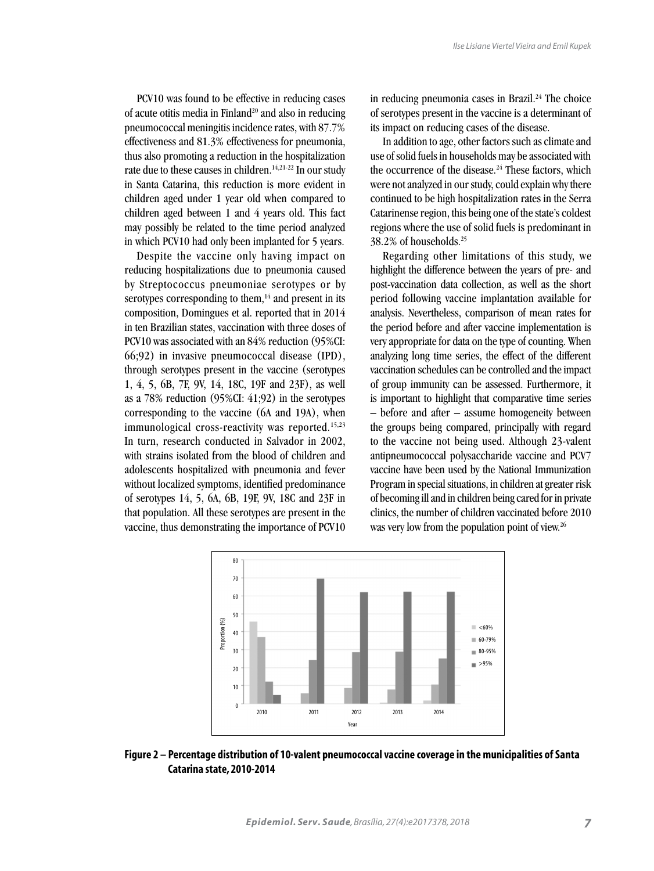PCV10 was found to be effective in reducing cases of acute otitis media in Finland<sup>20</sup> and also in reducing pneumococcal meningitis incidence rates, with 87.7% effectiveness and 81.3% effectiveness for pneumonia, thus also promoting a reduction in the hospitalization rate due to these causes in children.<sup>14,21-22</sup> In our study in Santa Catarina, this reduction is more evident in children aged under 1 year old when compared to children aged between 1 and 4 years old. This fact may possibly be related to the time period analyzed in which PCV10 had only been implanted for 5 years.

Despite the vaccine only having impact on reducing hospitalizations due to pneumonia caused by Streptococcus pneumoniae serotypes or by serotypes corresponding to them, $14$  and present in its composition, Domingues et al. reported that in 2014 in ten Brazilian states, vaccination with three doses of PCV10 was associated with an 84% reduction (95%CI: 66;92) in invasive pneumococcal disease (IPD), through serotypes present in the vaccine (serotypes 1, 4, 5, 6B, 7F, 9V, 14, 18C, 19F and 23F), as well as a 78% reduction (95%CI: 41;92) in the serotypes corresponding to the vaccine (6A and 19A), when immunological cross-reactivity was reported.<sup>15,23</sup> In turn, research conducted in Salvador in 2002, with strains isolated from the blood of children and adolescents hospitalized with pneumonia and fever without localized symptoms, identified predominance of serotypes 14, 5, 6A, 6B, 19F, 9V, 18C and 23F in that population. All these serotypes are present in the vaccine, thus demonstrating the importance of PCV10

in reducing pneumonia cases in Brazil. $24$  The choice of serotypes present in the vaccine is a determinant of its impact on reducing cases of the disease.

In addition to age, other factors such as climate and use of solid fuels in households may be associated with the occurrence of the disease.<sup>24</sup> These factors, which were not analyzed in our study, could explain why there continued to be high hospitalization rates in the Serra Catarinense region, this being one of the state's coldest regions where the use of solid fuels is predominant in 38.2% of households.25

Regarding other limitations of this study, we highlight the difference between the years of pre- and post-vaccination data collection, as well as the short period following vaccine implantation available for analysis. Nevertheless, comparison of mean rates for the period before and after vaccine implementation is very appropriate for data on the type of counting. When analyzing long time series, the effect of the different vaccination schedules can be controlled and the impact of group immunity can be assessed. Furthermore, it is important to highlight that comparative time series – before and after – assume homogeneity between the groups being compared, principally with regard to the vaccine not being used. Although 23-valent antipneumococcal polysaccharide vaccine and PCV7 vaccine have been used by the National Immunization Program in special situations, in children at greater risk of becoming ill and in children being cared for in private clinics, the number of children vaccinated before 2010 was very low from the population point of view.<sup>26</sup>



**Figure 2 – Percentage distribution of 10-valent pneumococcal vaccine coverage in the municipalities of Santa Catarina state, 2010-2014**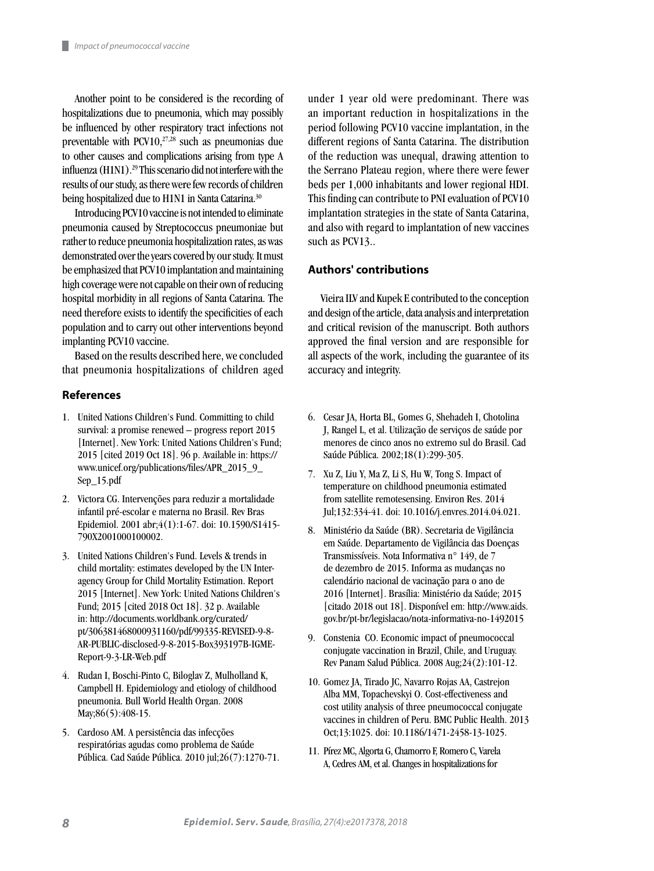Another point to be considered is the recording of hospitalizations due to pneumonia, which may possibly be influenced by other respiratory tract infections not preventable with PCV10, $27,28$  such as pneumonias due to other causes and complications arising from type A influenza (H1N1).29 This scenario did not interfere with the results of our study, as there were few records of children being hospitalized due to H1N1 in Santa Catarina.<sup>30</sup>

Introducing PCV10 vaccine is not intended to eliminate pneumonia caused by Streptococcus pneumoniae but rather to reduce pneumonia hospitalization rates, as was demonstrated over the years covered by our study. It must be emphasized that PCV10 implantation and maintaining high coverage were not capable on their own of reducing hospital morbidity in all regions of Santa Catarina. The need therefore exists to identify the specificities of each population and to carry out other interventions beyond implanting PCV10 vaccine.

Based on the results described here, we concluded that pneumonia hospitalizations of children aged

## **References**

- 1. United Nations Children's Fund. Committing to child survival: a promise renewed – progress report 2015 [Internet]. New York: United Nations Children's Fund; 2015 [cited 2019 Oct 18]. 96 p. Available in: https:// www.unicef.org/publications/files/APR\_2015\_9\_ Sep\_15.pdf
- 2. Victora CG. Intervenções para reduzir a mortalidade infantil pré-escolar e materna no Brasil. Rev Bras Epidemiol. 2001 abr;4(1):1-67. doi: 10.1590/S1415- 790X2001000100002.
- 3. United Nations Children's Fund. Levels & trends in child mortality: estimates developed by the UN Interagency Group for Child Mortality Estimation. Report 2015 [Internet]. New York: United Nations Children's Fund; 2015 [cited 2018 Oct 18]. 32 p. Available in: http://documents.worldbank.org/curated/ pt/306381468000931160/pdf/99335-REVISED-9-8- AR-PUBLIC-disclosed-9-8-2015-Box393197B-IGME-Report-9-3-LR-Web.pdf
- 4. Rudan I, Boschi-Pinto C, Biloglav Z, Mulholland K, Campbell H. Epidemiology and etiology of childhood pneumonia. Bull World Health Organ. 2008 May;86(5):408-15.
- 5. Cardoso AM. A persistência das infecções respiratórias agudas como problema de Saúde Pública. Cad Saúde Pública. 2010 jul;26(7):1270-71.

under 1 year old were predominant. There was an important reduction in hospitalizations in the period following PCV10 vaccine implantation, in the different regions of Santa Catarina. The distribution of the reduction was unequal, drawing attention to the Serrano Plateau region, where there were fewer beds per 1,000 inhabitants and lower regional HDI. This finding can contribute to PNI evaluation of PCV10 implantation strategies in the state of Santa Catarina, and also with regard to implantation of new vaccines such as PCV13..

### **Authors' contributions**

Vieira ILV and Kupek E contributed to the conception and design of the article, data analysis and interpretation and critical revision of the manuscript. Both authors approved the final version and are responsible for all aspects of the work, including the guarantee of its accuracy and integrity.

- 6. Cesar JA, Horta BL, Gomes G, Shehadeh I, Chotolina J, Rangel L, et al. Utilização de serviços de saúde por menores de cinco anos no extremo sul do Brasil. Cad Saúde Pública. 2002;18(1):299-305.
- 7. Xu Z, Liu Y, Ma Z, Li S, Hu W, Tong S. Impact of temperature on childhood pneumonia estimated from satellite remotesensing. Environ Res. 2014 Jul;132:334-41. doi: 10.1016/j.envres.2014.04.021.
- 8. Ministério da Saúde (BR). Secretaria de Vigilância em Saúde. Departamento de Vigilância das Doenças Transmissíveis. Nota Informativa n° 149, de 7 de dezembro de 2015. Informa as mudanças no calendário nacional de vacinação para o ano de 2016 [Internet]. Brasília: Ministério da Saúde; 2015 [citado 2018 out 18]. Disponível em: http://www.aids. gov.br/pt-br/legislacao/nota-informativa-no-1492015
- 9. Constenia CO. Economic impact of pneumococcal conjugate vaccination in Brazil, Chile, and Uruguay. Rev Panam Salud Pública. 2008 Aug;24(2):101-12.
- 10. Gomez JA, Tirado JC, Navarro Rojas AA, Castrejon Alba MM, Topachevskyi O. Cost-effectiveness and cost utility analysis of three pneumococcal conjugate vaccines in children of Peru. BMC Public Health. 2013 Oct;13:1025. doi: 10.1186/1471-2458-13-1025.
- 11. Pírez MC, Algorta G, Chamorro F, Romero C, Varela A, Cedres AM, et al. Changes in hospitalizations for